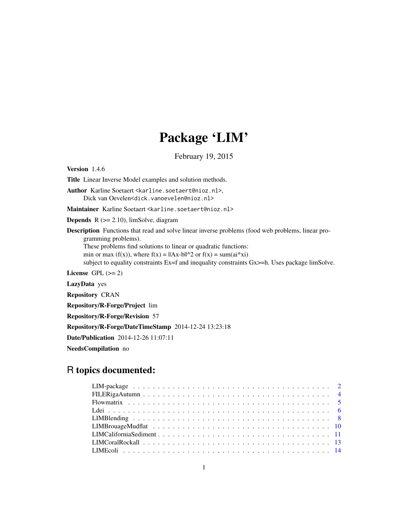## Package 'LIM'

February 19, 2015

<span id="page-0-0"></span>Version 1.4.6 Title Linear Inverse Model examples and solution methods. Author Karline Soetaert <karline.soetaert@nioz.nl>, Dick van Oevelen<dick.vanoevelen@nioz.nl> Maintainer Karline Soetaert <karline.soetaert@nioz.nl> **Depends**  $R$  ( $>= 2.10$ ), limSolve, diagram Description Functions that read and solve linear inverse problems (food web problems, linear programming problems). These problems find solutions to linear or quadratic functions: min or max (f(x)), where  $f(x) = ||Ax-b||^2$  or  $f(x) = \text{sum}(ai^*xi)$ subject to equality constraints Ex=f and inequality constraints Gx>=h. Uses package limSolve. License GPL  $(>= 2)$ LazyData yes Repository CRAN Repository/R-Forge/Project lim Repository/R-Forge/Revision 57 Repository/R-Forge/DateTimeStamp 2014-12-24 13:23:18 Date/Publication 2014-12-26 11:07:11

NeedsCompilation no

## R topics documented: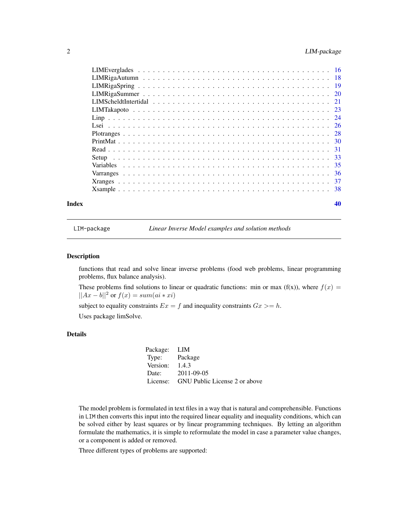<span id="page-1-0"></span>

LIM-package *Linear Inverse Model examples and solution methods*

## Description

functions that read and solve linear inverse problems (food web problems, linear programming problems, flux balance analysis).

These problems find solutions to linear or quadratic functions: min or max (f(x)), where  $f(x)$  =  $||Ax - b||^2$  or  $f(x) = sum(ai * xi)$ 

subject to equality constraints  $Ex = f$  and inequality constraints  $Gx \geq h$ . Uses package limSolve.

## Details

| Package: LIM     |                                        |
|------------------|----------------------------------------|
| Type: Package    |                                        |
| Version: $1.4.3$ |                                        |
|                  | Date: 2011-09-05                       |
|                  | License: GNU Public License 2 or above |

The model problem is formulated in text files in a way that is natural and comprehensible. Functions in LIM then converts this input into the required linear equality and inequality conditions, which can be solved either by least squares or by linear programming techniques. By letting an algorithm formulate the mathematics, it is simple to reformulate the model in case a parameter value changes, or a component is added or removed.

Three different types of problems are supported: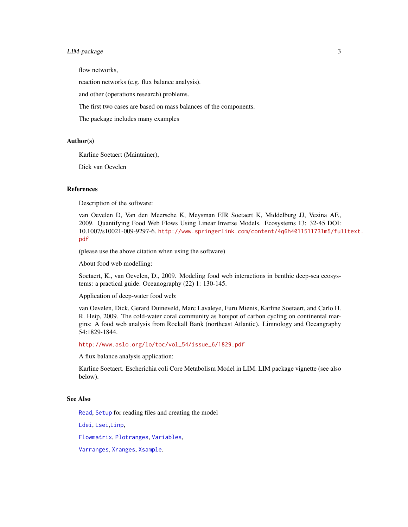## <span id="page-2-0"></span>LIM-package 3

flow networks,

reaction networks (e.g. flux balance analysis).

and other (operations research) problems.

The first two cases are based on mass balances of the components.

The package includes many examples

## Author(s)

Karline Soetaert (Maintainer),

Dick van Oevelen

#### References

Description of the software:

van Oevelen D, Van den Meersche K, Meysman FJR Soetaert K, Middelburg JJ, Vezina AF., 2009. Quantifying Food Web Flows Using Linear Inverse Models. Ecosystems 13: 32-45 DOI: 10.1007/s10021-009-9297-6. [http://www.springerlink.com/content/4q6h4011511731m5/ful](http://www.springerlink.com/content/4q6h4011511731m5/fulltext.pdf)ltext. [pdf](http://www.springerlink.com/content/4q6h4011511731m5/fulltext.pdf)

(please use the above citation when using the software)

About food web modelling:

Soetaert, K., van Oevelen, D., 2009. Modeling food web interactions in benthic deep-sea ecosystems: a practical guide. Oceanography (22) 1: 130-145.

Application of deep-water food web:

van Oevelen, Dick, Gerard Duineveld, Marc Lavaleye, Furu Mienis, Karline Soetaert, and Carlo H. R. Heip, 2009. The cold-water coral community as hotspot of carbon cycling on continental margins: A food web analysis from Rockall Bank (northeast Atlantic). Limnology and Oceangraphy 54:1829-1844.

[http://www.aslo.org/lo/toc/vol\\_54/issue\\_6/1829.pdf](http://www.aslo.org/lo/toc/vol_54/issue_6/1829.pdf)

A flux balance analysis application:

Karline Soetaert. Escherichia coli Core Metabolism Model in LIM. LIM package vignette (see also below).

## See Also

[Read](#page-30-1), [Setup](#page-32-1) for reading files and creating the model

[Ldei](#page-5-1), [Lsei](#page-25-1),[Linp](#page-23-1),

[Flowmatrix](#page-4-1), [Plotranges](#page-27-1), [Variables](#page-34-1),

[Varranges](#page-35-1), [Xranges](#page-36-1), [Xsample](#page-37-1).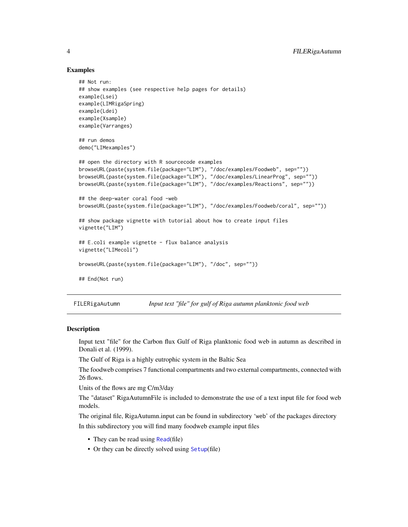## Examples

```
## Not run:
## show examples (see respective help pages for details)
example(Lsei)
example(LIMRigaSpring)
example(Ldei)
example(Xsample)
example(Varranges)
## run demos
demo("LIMexamples")
## open the directory with R sourcecode examples
browseURL(paste(system.file(package="LIM"), "/doc/examples/Foodweb", sep=""))
browseURL(paste(system.file(package="LIM"), "/doc/examples/LinearProg", sep=""))
browseURL(paste(system.file(package="LIM"), "/doc/examples/Reactions", sep=""))
## the deep-water coral food -web
browseURL(paste(system.file(package="LIM"), "/doc/examples/Foodweb/coral", sep=""))
## show package vignette with tutorial about how to create input files
vignette("LIM")
## E.coli example vignette - flux balance analysis
vignette("LIMecoli")
browseURL(paste(system.file(package="LIM"), "/doc", sep=""))
## End(Not run)
```
FILERigaAutumn *Input text "file" for gulf of Riga autumn planktonic food web*

## **Description**

Input text "file" for the Carbon flux Gulf of Riga planktonic food web in autumn as described in Donali et al. (1999).

The Gulf of Riga is a highly eutrophic system in the Baltic Sea

The foodweb comprises 7 functional compartments and two external compartments, connected with 26 flows.

Units of the flows are mg C/m3/day

The "dataset" RigaAutumnFile is included to demonstrate the use of a text input file for food web models.

The original file, RigaAutumn.input can be found in subdirectory 'web' of the packages directory In this subdirectory you will find many foodweb example input files

- They can be read using [Read](#page-30-1)(file)
- Or they can be directly solved using [Setup](#page-32-1)(file)

<span id="page-3-0"></span>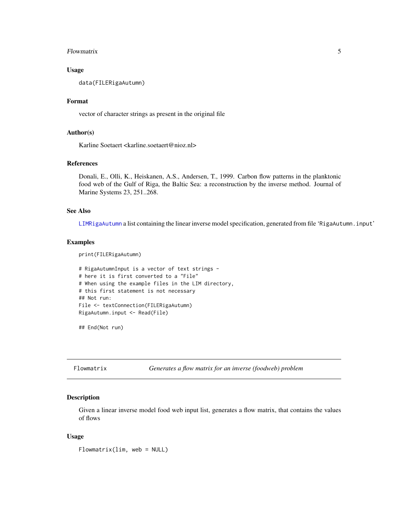#### <span id="page-4-0"></span>Flowmatrix 5

## Usage

data(FILERigaAutumn)

## Format

vector of character strings as present in the original file

## Author(s)

Karline Soetaert <karline.soetaert@nioz.nl>

#### References

Donali, E., Olli, K., Heiskanen, A.S., Andersen, T., 1999. Carbon flow patterns in the planktonic food web of the Gulf of Riga, the Baltic Sea: a reconstruction by the inverse method. Journal of Marine Systems 23, 251..268.

#### See Also

[LIMRigaAutumn](#page-17-1) a list containing the linear inverse model specification, generated from file 'RigaAutumn.input'

#### Examples

print(FILERigaAutumn)

```
# RigaAutumnInput is a vector of text strings -
# here it is first converted to a "File"
# When using the example files in the LIM directory,
# this first statement is not necessary
## Not run:
File <- textConnection(FILERigaAutumn)
RigaAutumn.input <- Read(File)
```
## End(Not run)

<span id="page-4-1"></span>Flowmatrix *Generates a flow matrix for an inverse (foodweb) problem*

## Description

Given a linear inverse model food web input list, generates a flow matrix, that contains the values of flows

#### Usage

Flowmatrix(lim, web = NULL)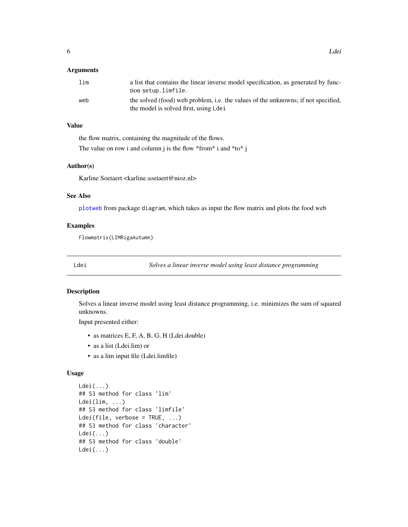## <span id="page-5-0"></span>**Arguments**

| lim | a list that contains the linear inverse model specification, as generated by func-<br>tion setup.limfile.                  |
|-----|----------------------------------------------------------------------------------------------------------------------------|
| web | the solved (food) web problem, i.e. the values of the unknowns; if not specified,<br>the model is solved first, using Ldei |

## Value

the flow matrix, containing the magnitude of the flows.

The value on row i and column j is the flow \*from\* i and \*to\* j

#### Author(s)

Karline Soetaert <karline.soetaert@nioz.nl>

## See Also

[plotweb](#page-0-0) from package diagram, which takes as input the flow matrix and plots the food web

#### Examples

Flowmatrix(LIMRigaAutumn)

<span id="page-5-1"></span>Ldei *Solves a linear inverse model using least distance programming*

## Description

Solves a linear inverse model using least distance programming, i.e. minimizes the sum of squared unknowns.

Input presented either:

- as matrices E, F, A, B, G, H (Ldei.double)
- as a list (Ldei.lim) or
- as a lim input file (Ldei.limfile)

## Usage

```
Ldei(...)
## S3 method for class 'lim'
Ldei(lim, ...)
## S3 method for class 'limfile'
Ldei(file, verbose = TRUE, ...)
## S3 method for class 'character'
Ldei(...)
## S3 method for class 'double'
Ldei(...)
```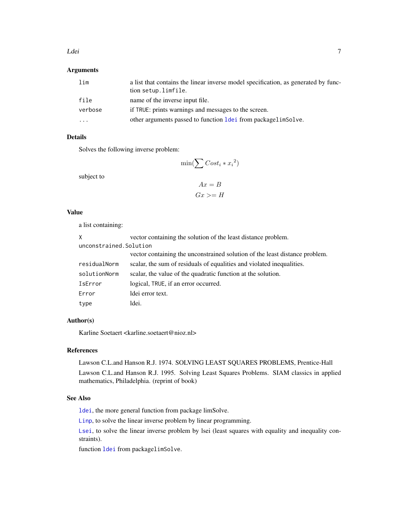#### <span id="page-6-0"></span>Ldei 2008 - 2008 - 2008 - 2008 - 2008 - 2008 - 2008 - 2008 - 2008 - 2008 - 2008 - 2008 - 2008 - 2008 - 2008 - 2008 - 2008 - 2008 - 2008 - 2008 - 2008 - 2008 - 2008 - 2008 - 2008 - 2008 - 2008 - 2008 - 2008 - 2008 - 2008 -

## Arguments

| lim     | a list that contains the linear inverse model specification, as generated by func-<br>tion setup.limfile. |
|---------|-----------------------------------------------------------------------------------------------------------|
| file    | name of the inverse input file.                                                                           |
| verbose | if TRUE: prints warnings and messages to the screen.                                                      |
| .       | other arguments passed to function <u>Idei</u> from packagelimSolve.                                      |

## Details

Solves the following inverse problem:

$$
\min(\sum Cost_i * x_i^2)
$$

subject to

$$
Ax = B
$$

$$
Gx >= H
$$

## Value

a list containing:

| X                       | vector containing the solution of the least distance problem.               |
|-------------------------|-----------------------------------------------------------------------------|
| unconstrained. Solution |                                                                             |
|                         | vector containing the unconstrained solution of the least distance problem. |
| residualNorm            | scalar, the sum of residuals of equalities and violated inequalities.       |
| solutionNorm            | scalar, the value of the quadratic function at the solution.                |
| IsError                 | logical, TRUE, if an error occurred.                                        |
| Error                   | ldei error text.                                                            |
| type                    | ldei.                                                                       |

## Author(s)

Karline Soetaert <karline.soetaert@nioz.nl>

## References

Lawson C.L.and Hanson R.J. 1974. SOLVING LEAST SQUARES PROBLEMS, Prentice-Hall Lawson C.L.and Hanson R.J. 1995. Solving Least Squares Problems. SIAM classics in applied mathematics, Philadelphia. (reprint of book)

## See Also

[ldei](#page-0-0), the more general function from package limSolve.

[Linp](#page-23-1), to solve the linear inverse problem by linear programming.

[Lsei](#page-25-1), to solve the linear inverse problem by lsei (least squares with equality and inequality constraints).

function [ldei](#page-0-0) from packagelimSolve.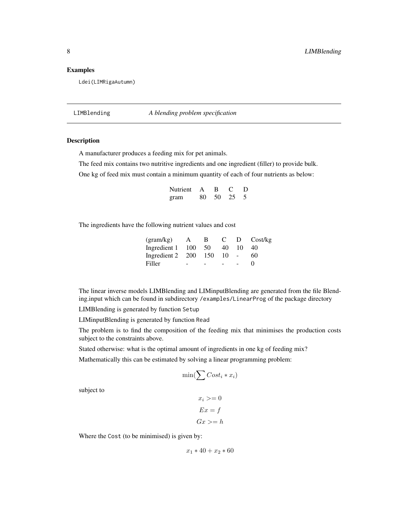## <span id="page-7-0"></span>Examples

Ldei(LIMRigaAutumn)

LIMBlending *A blending problem specification*

#### Description

A manufacturer produces a feeding mix for pet animals.

The feed mix contains two nutritive ingredients and one ingredient (filler) to provide bulk.

One kg of feed mix must contain a minimum quantity of each of four nutrients as below:

| Nutrient | A   | в    |    | D  |
|----------|-----|------|----|----|
| gram     | 80. | - 50 | 25 | -5 |

The ingredients have the following nutrient values and cost

| (gram/kg)        | $\mathsf{A}$ | В.  | $\mathbf{C}$ |    | D Cost/kg         |
|------------------|--------------|-----|--------------|----|-------------------|
| Ingredient 1 100 |              | 50  | 40           | 10 | 40                |
| Ingredient 2 200 |              | 150 | 10           |    | 60                |
| Filler           | -            |     |              |    | $\mathbf{\Omega}$ |

The linear inverse models LIMBlending and LIMinputBlending are generated from the file Blending.input which can be found in subdirectory /examples/LinearProg of the package directory

LIMBlending is generated by function Setup

LIMinputBlending is generated by function Read

The problem is to find the composition of the feeding mix that minimises the production costs subject to the constraints above.

Stated otherwise: what is the optimal amount of ingredients in one kg of feeding mix?

Mathematically this can be estimated by solving a linear programming problem:

$$
\min(\sum Cost_i * x_i)
$$

subject to

$$
x_i \geq 0
$$

$$
Ex = f
$$

$$
Gx \geq h
$$

Where the Cost (to be minimised) is given by:

$$
x_1 * 40 + x_2 * 60
$$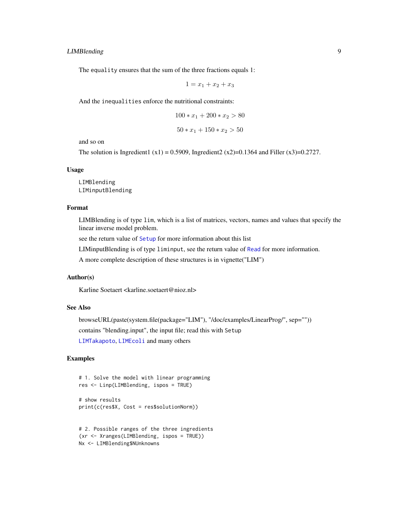## <span id="page-8-0"></span>LIMBlending 9

The equality ensures that the sum of the three fractions equals 1:

$$
1 = x_1 + x_2 + x_3
$$

And the inequalities enforce the nutritional constraints:

$$
100 * x_1 + 200 * x_2 > 80
$$
  

$$
50 * x_1 + 150 * x_2 > 50
$$

and so on

The solution is Ingredient1 (x1) = 0.5909, Ingredient2 (x2)=0.1364 and Filler (x3)=0.2727.

#### Usage

LIMBlending LIMinputBlending

## Format

LIMBlending is of type lim, which is a list of matrices, vectors, names and values that specify the linear inverse model problem.

see the return value of [Setup](#page-32-1) for more information about this list

LIMinputBlending is of type liminput, see the return value of [Read](#page-30-1) for more information.

A more complete description of these structures is in vignette("LIM")

## Author(s)

Karline Soetaert <karline.soetaert@nioz.nl>

## See Also

browseURL(paste(system.file(package="LIM"), "/doc/examples/LinearProg/", sep="")) contains "blending.input", the input file; read this with Setup

[LIMTakapoto](#page-22-1), [LIMEcoli](#page-13-1) and many others

## Examples

```
# 1. Solve the model with linear programming
res <- Linp(LIMBlending, ispos = TRUE)
# show results
print(c(res$X, Cost = res$solutionNorm))
```

```
# 2. Possible ranges of the three ingredients
(xr <- Xranges(LIMBlending, ispos = TRUE))
Nx <- LIMBlending$NUnknowns
```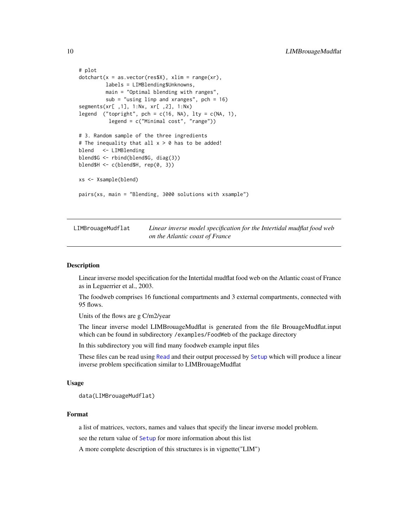```
# plot
dotchart(x = as.vector(resx), xlim = range(xr),labels = LIMBlending$Unknowns,
        main = "Optimal blending with ranges",
        sub = "using linp and xranges", pch = 16)
segments(xr[ ,1], 1:Nx, xr[ ,2], 1:Nx)
legend ("topright", pch = c(16, NA), lty = c(NA, 1),
         legend = c("Minimal cost", "range"))
# 3. Random sample of the three ingredients
# The inequality that all x > 0 has to be added!
blend <- LIMBlending
blend$G <- rbind(blend$G, diag(3))
blend$H <- c(blend$H, rep(0, 3))
xs <- Xsample(blend)
pairs(xs, main = "Blending, 3000 solutions with xsample")
```
LIMBrouageMudflat *Linear inverse model specification for the Intertidal mudflat food web on the Atlantic coast of France*

#### **Description**

Linear inverse model specification for the Intertidal mudflat food web on the Atlantic coast of France as in Leguerrier et al., 2003.

The foodweb comprises 16 functional compartments and 3 external compartments, connected with 95 flows.

Units of the flows are g C/m2/year

The linear inverse model LIMBrouageMudflat is generated from the file BrouageMudflat.input which can be found in subdirectory /examples/FoodWeb of the package directory

In this subdirectory you will find many foodweb example input files

These files can be read using [Read](#page-30-1) and their output processed by [Setup](#page-32-1) which will produce a linear inverse problem specification similar to LIMBrouageMudflat

## Usage

data(LIMBrouageMudflat)

#### Format

a list of matrices, vectors, names and values that specify the linear inverse model problem.

see the return value of [Setup](#page-32-1) for more information about this list

A more complete description of this structures is in vignette("LIM")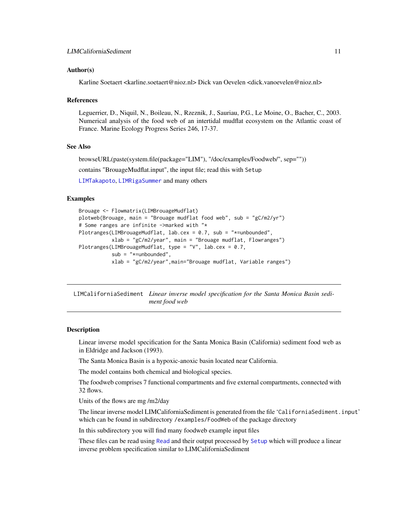#### <span id="page-10-0"></span>Author(s)

Karline Soetaert <karline.soetaert@nioz.nl> Dick van Oevelen <dick.vanoevelen@nioz.nl>

#### References

Leguerrier, D., Niquil, N., Boileau, N., Rzeznik, J., Sauriau, P.G., Le Moine, O., Bacher, C., 2003. Numerical analysis of the food web of an intertidal mudflat ecosystem on the Atlantic coast of France. Marine Ecology Progress Series 246, 17-37.

## See Also

browseURL(paste(system.file(package="LIM"), "/doc/examples/Foodweb/", sep=""))

contains "BrouageMudflat.input", the input file; read this with Setup

[LIMTakapoto](#page-22-1), [LIMRigaSummer](#page-19-1) and many others

#### Examples

```
Brouage <- Flowmatrix(LIMBrouageMudflat)
plotweb(Brouage, main = "Brouage mudflat food web", sub = "gC/m2/yr")
# Some ranges are infinite ->marked with "*
Plotranges(LIMBrouageMudflat, lab.cex = 0.7, sub = "*=unbounded",
           xlab = "gC/m2/year", main = "Brouage mudflat, Flowranges")
Plotranges(LIMBrouageMudflat, type = "V", lab.cex = 0.7,
           sub = "*=unbounded",
           xlab = "gC/m2/year",main="Brouage mudflat, Variable ranges")
```
LIMCaliforniaSediment *Linear inverse model specification for the Santa Monica Basin sediment food web*

#### Description

Linear inverse model specification for the Santa Monica Basin (California) sediment food web as in Eldridge and Jackson (1993).

The Santa Monica Basin is a hypoxic-anoxic basin located near California.

The model contains both chemical and biological species.

The foodweb comprises 7 functional compartments and five external compartments, connected with 32 flows.

Units of the flows are mg /m2/day

The linear inverse model LIMCaliforniaSediment is generated from the file 'CaliforniaSediment.input' which can be found in subdirectory /examples/FoodWeb of the package directory

In this subdirectory you will find many foodweb example input files

These files can be read using [Read](#page-30-1) and their output processed by [Setup](#page-32-1) which will produce a linear inverse problem specification similar to LIMCaliforniaSediment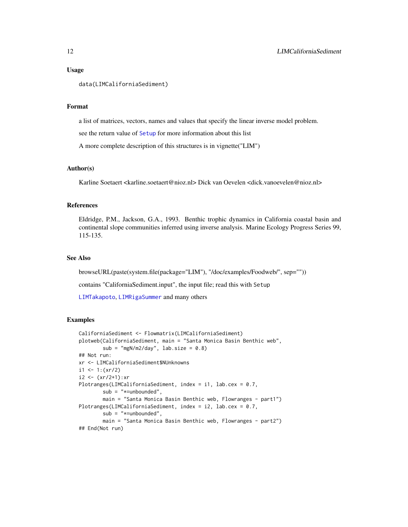#### Usage

```
data(LIMCaliforniaSediment)
```
#### Format

a list of matrices, vectors, names and values that specify the linear inverse model problem.

see the return value of [Setup](#page-32-1) for more information about this list

A more complete description of this structures is in vignette("LIM")

## Author(s)

Karline Soetaert <karline.soetaert@nioz.nl> Dick van Oevelen <dick.vanoevelen@nioz.nl>

#### References

Eldridge, P.M., Jackson, G.A., 1993. Benthic trophic dynamics in California coastal basin and continental slope communities inferred using inverse analysis. Marine Ecology Progress Series 99, 115-135.

## See Also

browseURL(paste(system.file(package="LIM"), "/doc/examples/Foodweb/", sep=""))

contains "CaliforniaSediment.input", the input file; read this with Setup

[LIMTakapoto](#page-22-1), [LIMRigaSummer](#page-19-1) and many others

#### Examples

```
CaliforniaSediment <- Flowmatrix(LIMCaliforniaSediment)
plotweb(CaliforniaSediment, main = "Santa Monica Basin Benthic web",
        sub = "mgN/m2/day", lab.size = 0.8)## Not run:
xr <- LIMCaliforniaSediment$NUnknowns
i1 <- 1:(xr/2)
i2 < - (xr/2+1):xrPlotranges(LIMCaliforniaSediment, index = i1, lab.cex = 0.7,
        sub = "*=unbounded",
       main = "Santa Monica Basin Benthic web, Flowranges - part1")
Plotranges(LIMCaliforniaSediment, index = i2, lab.cex = 0.7,
       sub = "*=unbounded",
       main = "Santa Monica Basin Benthic web, Flowranges - part2")
## End(Not run)
```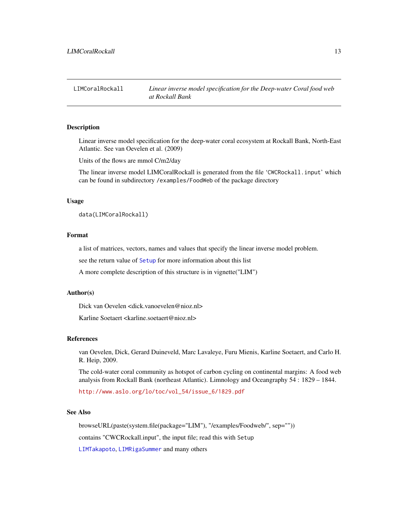<span id="page-12-0"></span>

Linear inverse model specification for the deep-water coral ecosystem at Rockall Bank, North-East Atlantic. See van Oevelen et al. (2009)

Units of the flows are mmol C/m2/day

The linear inverse model LIMCoralRockall is generated from the file 'CWCRockall.input' which can be found in subdirectory /examples/FoodWeb of the package directory

## Usage

data(LIMCoralRockall)

#### Format

a list of matrices, vectors, names and values that specify the linear inverse model problem.

see the return value of [Setup](#page-32-1) for more information about this list

A more complete description of this structure is in vignette("LIM")

#### Author(s)

Dick van Oevelen <dick.vanoevelen@nioz.nl>

Karline Soetaert <karline.soetaert@nioz.nl>

#### References

van Oevelen, Dick, Gerard Duineveld, Marc Lavaleye, Furu Mienis, Karline Soetaert, and Carlo H. R. Heip, 2009.

The cold-water coral community as hotspot of carbon cycling on continental margins: A food web analysis from Rockall Bank (northeast Atlantic). Limnology and Oceangraphy 54 : 1829 – 1844.

[http://www.aslo.org/lo/toc/vol\\_54/issue\\_6/1829.pdf](http://www.aslo.org/lo/toc/vol_54/issue_6/1829.pdf)

## See Also

browseURL(paste(system.file(package="LIM"), "/examples/Foodweb/", sep="")) contains "CWCRockall.input", the input file; read this with Setup [LIMTakapoto](#page-22-1), [LIMRigaSummer](#page-19-1) and many others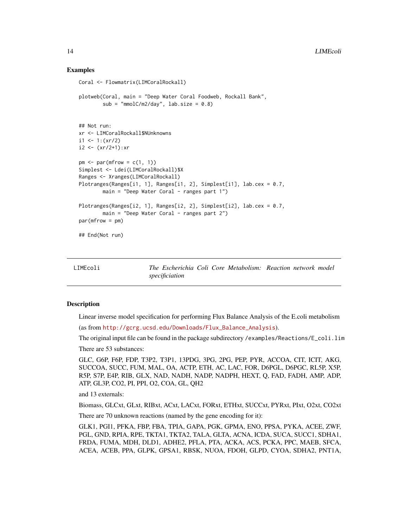#### Examples

```
Coral <- Flowmatrix(LIMCoralRockall)
plotweb(Coral, main = "Deep Water Coral Foodweb, Rockall Bank",
        sub = "mmolC/m2/day", lab.size = 0.8)## Not run:
xr <- LIMCoralRockall$NUnknowns
i1 <- 1:(xr/2)i2 < - (xr/2+1):xrpm < -\text{par}(\text{m}frow = c(1, 1))Simplest <- Ldei(LIMCoralRockall)$X
Ranges <- Xranges(LIMCoralRockall)
Plotranges(Ranges[i1, 1], Ranges[i1, 2], Simplest[i1], lab.cex = 0.7,
        main = "Deep Water Coral - ranges part 1")Plotranges(Ranges[i2, 1], Ranges[i2, 2], Simplest[i2], lab.cex = 0.7,
       main = "Deep Water Cord - ranges part 2")par(mfrow = pm)## End(Not run)
```
<span id="page-13-1"></span>LIMEcoli *The Escherichia Coli Core Metabolism: Reaction network model specificiation*

#### Description

Linear inverse model specification for performing Flux Balance Analysis of the E.coli metabolism (as from [http://gcrg.ucsd.edu/Downloads/Flux\\_Balance\\_Analysis](http://gcrg.ucsd.edu/Downloads/Flux_Balance_Analysis)).

The original input file can be found in the package subdirectory /examples/Reactions/E\_coli.lim

There are 53 substances:

GLC, G6P, F6P, FDP, T3P2, T3P1, 13PDG, 3PG, 2PG, PEP, PYR, ACCOA, CIT, ICIT, AKG, SUCCOA, SUCC, FUM, MAL, OA, ACTP, ETH, AC, LAC, FOR, D6PGL, D6PGC, RL5P, X5P, R5P, S7P, E4P, RIB, GLX, NAD, NADH, NADP, NADPH, HEXT, Q, FAD, FADH, AMP, ADP, ATP, GL3P, CO2, PI, PPI, O2, COA, GL, QH2

and 13 externals:

Biomass, GLCxt, GLxt, RIBxt, ACxt, LACxt, FORxt, ETHxt, SUCCxt, PYRxt, PIxt, O2xt, CO2xt

There are 70 unknown reactions (named by the gene encoding for it):

GLK1, PGI1, PFKA, FBP, FBA, TPIA, GAPA, PGK, GPMA, ENO, PPSA, PYKA, ACEE, ZWF, PGL, GND, RPIA, RPE, TKTA1, TKTA2, TALA, GLTA, ACNA, ICDA, SUCA, SUCC1, SDHA1, FRDA, FUMA, MDH, DLD1, ADHE2, PFLA, PTA, ACKA, ACS, PCKA, PPC, MAEB, SFCA, ACEA, ACEB, PPA, GLPK, GPSA1, RBSK, NUOA, FDOH, GLPD, CYOA, SDHA2, PNT1A,

<span id="page-13-0"></span>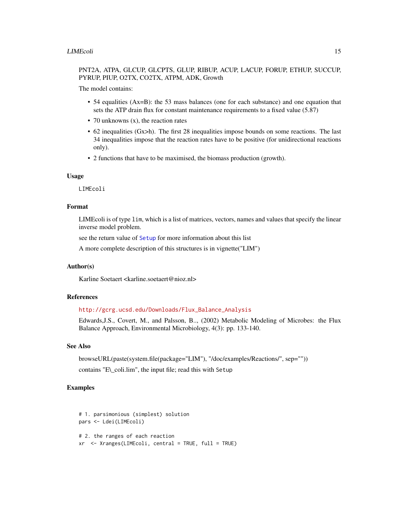## <span id="page-14-0"></span>PNT2A, ATPA, GLCUP, GLCPTS, GLUP, RIBUP, ACUP, LACUP, FORUP, ETHUP, SUCCUP, PYRUP, PIUP, O2TX, CO2TX, ATPM, ADK, Growth

The model contains:

- 54 equalities (Ax=B): the 53 mass balances (one for each substance) and one equation that sets the ATP drain flux for constant maintenance requirements to a fixed value (5.87)
- 70 unknowns (x), the reaction rates
- 62 inequalities (Gx>h). The first 28 inequalities impose bounds on some reactions. The last 34 inequalities impose that the reaction rates have to be positive (for unidirectional reactions only).
- 2 functions that have to be maximised, the biomass production (growth).

#### Usage

LIMEcoli

#### Format

LIMEcoli is of type lim, which is a list of matrices, vectors, names and values that specify the linear inverse model problem.

see the return value of [Setup](#page-32-1) for more information about this list

A more complete description of this structures is in vignette("LIM")

## Author(s)

Karline Soetaert <karline.soetaert@nioz.nl>

## References

## [http://gcrg.ucsd.edu/Downloads/Flux\\_Balance\\_Analysis](http://gcrg.ucsd.edu/Downloads/Flux_Balance_Analysis )

Edwards,J.S., Covert, M., and Palsson, B.., (2002) Metabolic Modeling of Microbes: the Flux Balance Approach, Environmental Microbiology, 4(3): pp. 133-140.

## See Also

browseURL(paste(system.file(package="LIM"), "/doc/examples/Reactions/", sep="")) contains "E\\_coli.lim", the input file; read this with Setup

## Examples

```
# 1. parsimonious (simplest) solution
pars <- Ldei(LIMEcoli)
# 2. the ranges of each reaction
xr <- Xranges(LIMEcoli, central = TRUE, full = TRUE)
```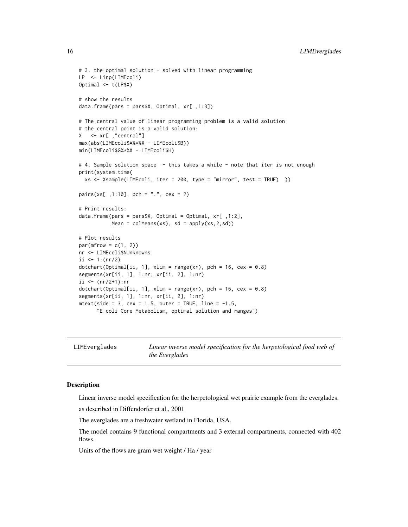```
# 3. the optimal solution - solved with linear programming
LP <- Linp(LIMEcoli)
Optimal <- t(LP$X)
# show the results
data.frame(pars = pars$X, Optimal, xr[ ,1:3])
# The central value of linear programming problem is a valid solution
# the central point is a valid solution:
X \leq -x r[ ,"central"]
max(abs(LIMEcoli$A%*%X - LIMEcoli$B))
min(LIMEcoli$G%*%X - LIMEcoli$H)
# 4. Sample solution space - this takes a while - note that iter is not enough
print(system.time(
  xs <- Xsample(LIMEcoli, iter = 200, type = "mirror", test = TRUE) ))
pairs(xs[ ,1:10], pch = ".", cex = 2)
# Print results:
data.frame(pars = pars$X, Optimal = Optimal, xr[ ,1:2],
           Mean = \text{colMeans}(xs), sd = \text{apply}(xs, 2, sd)# Plot results
par(mfrow = c(1, 2))nr <- LIMEcoli$NUnknowns
ii \leq -1: (nr/2)
dotchart(Optimal[ii, 1], xlim = range(xr), pch = 16, cex = 0.8)segments(xr[ii, 1], 1:nr, xr[ii, 2], 1:nr)
ii \leftarrow (nr/2+1):nr
dotchart(Optimal[i, 1], xlim = range(xr), pch = 16, cex = 0.8)segments(xr[ii, 1], 1:nr, xr[ii, 2], 1:nr)
mtext{text(side = 3, cex = 1.5, outer = TRUE, line = -1.5,"E coli Core Metabolism, optimal solution and ranges")
```
LIMEverglades *Linear inverse model specification for the herpetological food web of the Everglades*

## Description

Linear inverse model specification for the herpetological wet prairie example from the everglades.

as described in Diffendorfer et al., 2001

The everglades are a freshwater wetland in Florida, USA.

The model contains 9 functional compartments and 3 external compartments, connected with 402 flows.

Units of the flows are gram wet weight / Ha / year

<span id="page-15-0"></span>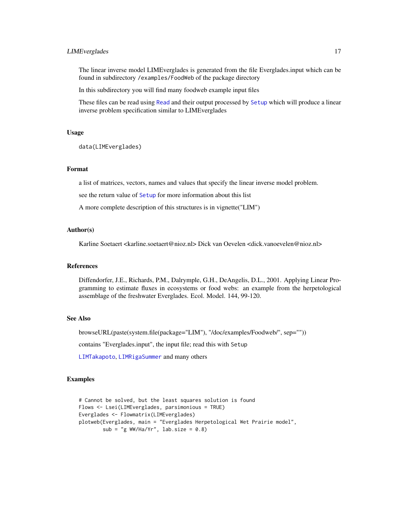## <span id="page-16-0"></span>LIMEverglades 17

The linear inverse model LIMEverglades is generated from the file Everglades.input which can be found in subdirectory /examples/FoodWeb of the package directory

In this subdirectory you will find many foodweb example input files

These files can be read using [Read](#page-30-1) and their output processed by [Setup](#page-32-1) which will produce a linear inverse problem specification similar to LIMEverglades

## Usage

data(LIMEverglades)

## Format

a list of matrices, vectors, names and values that specify the linear inverse model problem.

see the return value of [Setup](#page-32-1) for more information about this list

A more complete description of this structures is in vignette("LIM")

#### Author(s)

Karline Soetaert <karline.soetaert@nioz.nl> Dick van Oevelen <dick.vanoevelen@nioz.nl>

#### References

Diffendorfer, J.E., Richards, P.M., Dalrymple, G.H., DeAngelis, D.L., 2001. Applying Linear Programming to estimate fluxes in ecosystems or food webs: an example from the herpetological assemblage of the freshwater Everglades. Ecol. Model. 144, 99-120.

## See Also

browseURL(paste(system.file(package="LIM"), "/doc/examples/Foodweb/", sep=""))

contains "Everglades.input", the input file; read this with Setup

[LIMTakapoto](#page-22-1), [LIMRigaSummer](#page-19-1) and many others

## Examples

```
# Cannot be solved, but the least squares solution is found
Flows <- Lsei(LIMEverglades, parsimonious = TRUE)
Everglades <- Flowmatrix(LIMEverglades)
plotweb(Everglades, main = "Everglades Herpetological Wet Prairie model",
       sub = "g WW/Ha/Yr", lab.size = 0.8)
```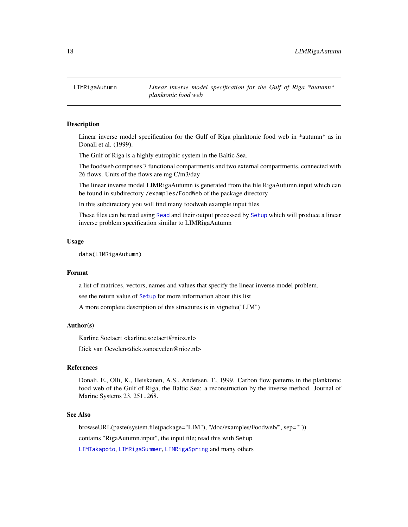<span id="page-17-1"></span><span id="page-17-0"></span>

Linear inverse model specification for the Gulf of Riga planktonic food web in \*autumn\* as in Donali et al. (1999).

The Gulf of Riga is a highly eutrophic system in the Baltic Sea.

The foodweb comprises 7 functional compartments and two external compartments, connected with 26 flows. Units of the flows are mg C/m3/day

The linear inverse model LIMRigaAutumn is generated from the file RigaAutumn.input which can be found in subdirectory /examples/FoodWeb of the package directory

In this subdirectory you will find many foodweb example input files

These files can be read using [Read](#page-30-1) and their output processed by [Setup](#page-32-1) which will produce a linear inverse problem specification similar to LIMRigaAutumn

## Usage

data(LIMRigaAutumn)

## Format

a list of matrices, vectors, names and values that specify the linear inverse model problem.

see the return value of [Setup](#page-32-1) for more information about this list

A more complete description of this structures is in vignette("LIM")

## Author(s)

Karline Soetaert <karline.soetaert@nioz.nl>

Dick van Oevelen<dick.vanoevelen@nioz.nl>

## References

Donali, E., Olli, K., Heiskanen, A.S., Andersen, T., 1999. Carbon flow patterns in the planktonic food web of the Gulf of Riga, the Baltic Sea: a reconstruction by the inverse method. Journal of Marine Systems 23, 251..268.

#### See Also

browseURL(paste(system.file(package="LIM"), "/doc/examples/Foodweb/", sep="")) contains "RigaAutumn.input", the input file; read this with Setup [LIMTakapoto](#page-22-1), [LIMRigaSummer](#page-19-1), [LIMRigaSpring](#page-18-1) and many others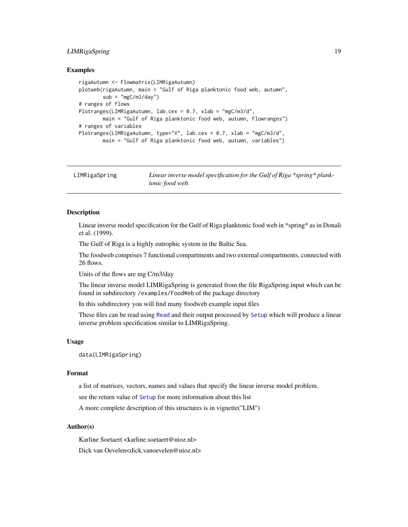## <span id="page-18-0"></span>LIMRigaSpring 19

#### Examples

```
rigaAutumn <- Flowmatrix(LIMRigaAutumn)
plotweb(rigaAutumn, main = "Gulf of Riga planktonic food web, autumn",
       sub = "mgC/m3/day")# ranges of flows
Plotranges(LIMRigaAutumn, lab.cex = 0.7, xlab = "mgC/m3/d",
       main = "Gulf of Riga planktonic food web, autumn, Flowranges")
# ranges of variables
Plotranges(LIMRigaAutumn, type="V", lab.cex = 0.7, xlab = "mgC/m3/d",
        main = "Gulf of Riga planktonic food web, autumn, variables")
```
<span id="page-18-1"></span>

| LIMRigaSpring | Linear inverse model specification for the Gulf of Riga *spring* plank- |
|---------------|-------------------------------------------------------------------------|
|               | <i>tonic food web.</i>                                                  |

## Description

Linear inverse model specification for the Gulf of Riga planktonic food web in \*spring\* as in Donali et al. (1999).

The Gulf of Riga is a highly eutrophic system in the Baltic Sea.

The foodweb comprises 7 functional compartments and two external compartments, connected with 26 flows.

Units of the flows are mg C/m3/day

The linear inverse model LIMRigaSpring is generated from the file RigaSpring.input which can be found in subdirectory /examples/FoodWeb of the package directory

In this subdirectory you will find many foodweb example input files

These files can be read using [Read](#page-30-1) and their output processed by [Setup](#page-32-1) which will produce a linear inverse problem specification similar to LIMRigaSpring.

## Usage

data(LIMRigaSpring)

## Format

a list of matrices, vectors, names and values that specify the linear inverse model problem.

see the return value of [Setup](#page-32-1) for more information about this list

A more complete description of this structures is in vignette("LIM")

#### Author(s)

Karline Soetaert <karline.soetaert@nioz.nl> Dick van Oevelen<dick.vanoevelen@nioz.nl>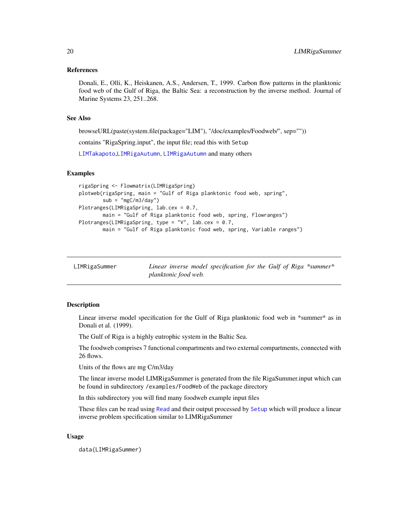#### <span id="page-19-0"></span>References

Donali, E., Olli, K., Heiskanen, A.S., Andersen, T., 1999. Carbon flow patterns in the planktonic food web of the Gulf of Riga, the Baltic Sea: a reconstruction by the inverse method. Journal of Marine Systems 23, 251..268.

## See Also

browseURL(paste(system.file(package="LIM"), "/doc/examples/Foodweb/", sep=""))

contains "RigaSpring.input", the input file; read this with Setup

[LIMTakapoto](#page-22-1),[LIMRigaAutumn](#page-17-1), [LIMRigaAutumn](#page-17-1) and many others

## Examples

```
rigaSpring <- Flowmatrix(LIMRigaSpring)
plotweb(rigaSpring, main = "Gulf of Riga planktonic food web, spring",
       sub = "mgC/m3/day")Plotranges(LIMRigaSpring, lab.cex = 0.7,
       main = "Gulf of Riga planktonic food web, spring, Flowranges")
Plotranges(LIMRigaSpring, type = "V", lab.cex = 0.7,
       main = "Gulf of Riga planktonic food web, spring, Variable ranges")
```
<span id="page-19-1"></span>

| LIMRigaSummer | Linear inverse model specification for the Gulf of Riga $*$ summer $*$ |  |  |
|---------------|------------------------------------------------------------------------|--|--|
|               | planktonic food web.                                                   |  |  |

#### Description

Linear inverse model specification for the Gulf of Riga planktonic food web in \*summer\* as in Donali et al. (1999).

The Gulf of Riga is a highly eutrophic system in the Baltic Sea.

The foodweb comprises 7 functional compartments and two external compartments, connected with 26 flows.

Units of the flows are mg C/m3/day

The linear inverse model LIMRigaSummer is generated from the file RigaSummer.input which can be found in subdirectory /examples/FoodWeb of the package directory

In this subdirectory you will find many foodweb example input files

These files can be read using [Read](#page-30-1) and their output processed by [Setup](#page-32-1) which will produce a linear inverse problem specification similar to LIMRigaSummer

#### Usage

data(LIMRigaSummer)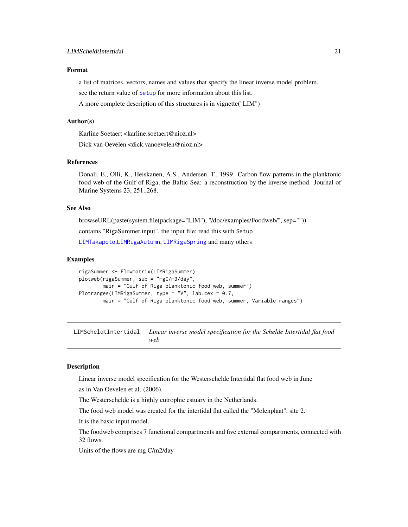## <span id="page-20-0"></span>Format

a list of matrices, vectors, names and values that specify the linear inverse model problem.

see the return value of [Setup](#page-32-1) for more information about this list.

A more complete description of this structures is in vignette("LIM")

#### Author(s)

Karline Soetaert <karline.soetaert@nioz.nl>

Dick van Oevelen <dick.vanoevelen@nioz.nl>

## References

Donali, E., Olli, K., Heiskanen, A.S., Andersen, T., 1999. Carbon flow patterns in the planktonic food web of the Gulf of Riga, the Baltic Sea: a reconstruction by the inverse method. Journal of Marine Systems 23, 251..268.

## See Also

browseURL(paste(system.file(package="LIM"), "/doc/examples/Foodweb/", sep="")) contains "RigaSummer.input", the input file; read this with Setup [LIMTakapoto](#page-22-1),[LIMRigaAutumn](#page-17-1), [LIMRigaSpring](#page-18-1) and many others

#### Examples

```
rigaSummer <- Flowmatrix(LIMRigaSummer)
plotweb(rigaSummer, sub = "mgC/m3/day",
       main = "Gulf of Riga planktonic food web, summer")
Plotranges(LIMRigaSummer, type = "V", lab.cex = 0.7,
       main = "Gulf of Riga planktonic food web, summer, Variable ranges")
```
LIMScheldtIntertidal *Linear inverse model specification for the Schelde Intertidal flat food web*

## Description

Linear inverse model specification for the Westerschelde Intertidal flat food web in June

as in Van Oevelen et al. (2006).

The Westerschelde is a highly eutrophic estuary in the Netherlands.

The food web model was created for the intertidal flat called the "Molenplaat", site 2.

It is the basic input model.

The foodweb comprises 7 functional compartments and five external compartments, connected with 32 flows.

Units of the flows are mg C/m2/day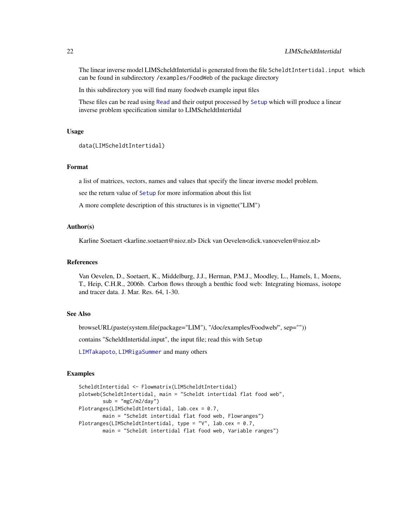The linear inverse model LIMScheldtIntertidal is generated from the file ScheldtIntertidal.input which can be found in subdirectory /examples/FoodWeb of the package directory

In this subdirectory you will find many foodweb example input files

These files can be read using [Read](#page-30-1) and their output processed by [Setup](#page-32-1) which will produce a linear inverse problem specification similar to LIMScheldtIntertidal

## Usage

```
data(LIMScheldtIntertidal)
```
## Format

a list of matrices, vectors, names and values that specify the linear inverse model problem.

see the return value of [Setup](#page-32-1) for more information about this list

A more complete description of this structures is in vignette("LIM")

## Author(s)

Karline Soetaert <karline.soetaert@nioz.nl> Dick van Oevelen<dick.vanoevelen@nioz.nl>

#### References

Van Oevelen, D., Soetaert, K., Middelburg, J.J., Herman, P.M.J., Moodley, L., Hamels, I., Moens, T., Heip, C.H.R., 2006b. Carbon flows through a benthic food web: Integrating biomass, isotope and tracer data. J. Mar. Res. 64, 1-30.

## See Also

browseURL(paste(system.file(package="LIM"), "/doc/examples/Foodweb/", sep=""))

contains "ScheldtIntertidal.input", the input file; read this with Setup

[LIMTakapoto](#page-22-1), [LIMRigaSummer](#page-19-1) and many others

## Examples

```
ScheldtIntertidal <- Flowmatrix(LIMScheldtIntertidal)
plotweb(ScheldtIntertidal, main = "Scheldt intertidal flat food web",
       sub = "mgC/m2/day")Plotranges(LIMScheldtIntertidal, lab.cex = 0.7,
       main = "Scheldt intertidal flat food web, Flowranges")
Plotranges(LIMScheldtIntertidal, type = "V", lab.cex = 0.7,
       main = "Scheldt intertidal flat food web, Variable ranges")
```
<span id="page-21-0"></span>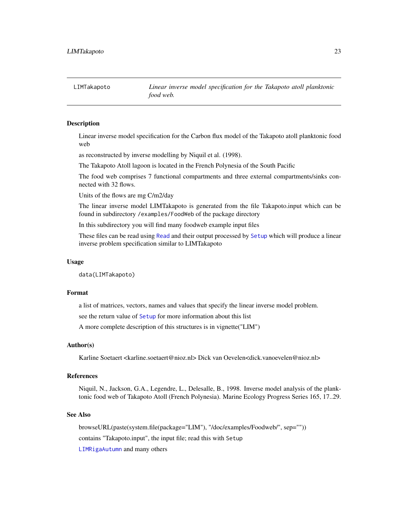<span id="page-22-1"></span><span id="page-22-0"></span>LIMTakapoto *Linear inverse model specification for the Takapoto atoll planktonic food web.*

## Description

Linear inverse model specification for the Carbon flux model of the Takapoto atoll planktonic food web

as reconstructed by inverse modelling by Niquil et al. (1998).

The Takapoto Atoll lagoon is located in the French Polynesia of the South Pacific

The food web comprises 7 functional compartments and three external compartments/sinks connected with 32 flows.

Units of the flows are mg C/m2/day

The linear inverse model LIMTakapoto is generated from the file Takapoto.input which can be found in subdirectory /examples/FoodWeb of the package directory

In this subdirectory you will find many foodweb example input files

These files can be read using [Read](#page-30-1) and their output processed by [Setup](#page-32-1) which will produce a linear inverse problem specification similar to LIMTakapoto

#### Usage

data(LIMTakapoto)

## Format

a list of matrices, vectors, names and values that specify the linear inverse model problem.

see the return value of [Setup](#page-32-1) for more information about this list

A more complete description of this structures is in vignette("LIM")

#### Author(s)

Karline Soetaert <karline.soetaert@nioz.nl> Dick van Oevelen<dick.vanoevelen@nioz.nl>

#### References

Niquil, N., Jackson, G.A., Legendre, L., Delesalle, B., 1998. Inverse model analysis of the planktonic food web of Takapoto Atoll (French Polynesia). Marine Ecology Progress Series 165, 17..29.

#### See Also

browseURL(paste(system.file(package="LIM"), "/doc/examples/Foodweb/", sep=""))

contains "Takapoto.input", the input file; read this with Setup

[LIMRigaAutumn](#page-17-1) and many others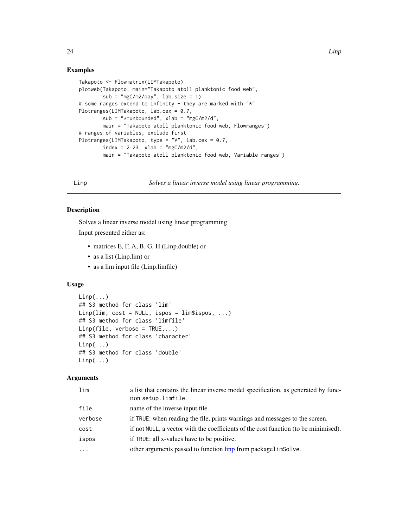## <span id="page-23-0"></span>Examples

```
Takapoto <- Flowmatrix(LIMTakapoto)
plotweb(Takapoto, main="Takapoto atoll planktonic food web",
        sub = "mgC/m2/day", lab.size = 1)# some ranges extend to infinity - they are marked with "*"
Plotranges(LIMTakapoto, lab.cex = 0.7,
       sub = "*=unbounded", xlab = "mgC/m2/d",
       main = "Takapoto atoll planktonic food web, Flowranges")
# ranges of variables, exclude first
Plotranges(LIMTakapoto, type = "V", lab.cex = 0.7,
       index = 2:23, xlab = "mgC/m2/d",main = "Takapoto atoll planktonic food web, Variable ranges")
```
<span id="page-23-1"></span>

Linp *Solves a linear inverse model using linear programming.*

#### Description

Solves a linear inverse model using linear programming Input presented either as:

- matrices E, F, A, B, G, H (Linp.double) or
- as a list (Linp.lim) or
- as a lim input file (Linp.limfile)

#### Usage

```
Linp(...)## S3 method for class 'lim'
Linp(lim, cost = NULL, ispos = lim$ispos, ...)
## S3 method for class 'limfile'
Linp(file, verbose = TRUE,...)## S3 method for class 'character'
Linp(...)## S3 method for class 'double'
Linp(...)
```
#### Arguments

| lim      | a list that contains the linear inverse model specification, as generated by func-<br>tion setup.limfile. |
|----------|-----------------------------------------------------------------------------------------------------------|
| file     | name of the inverse input file.                                                                           |
| verbose  | if TRUE: when reading the file, prints warnings and messages to the screen.                               |
| cost     | if not NULL, a vector with the coefficients of the cost function (to be minimised).                       |
| ispos    | if TRUE: all x-values have to be positive.                                                                |
| $\cdots$ | other arguments passed to function linp from packagelimSolve.                                             |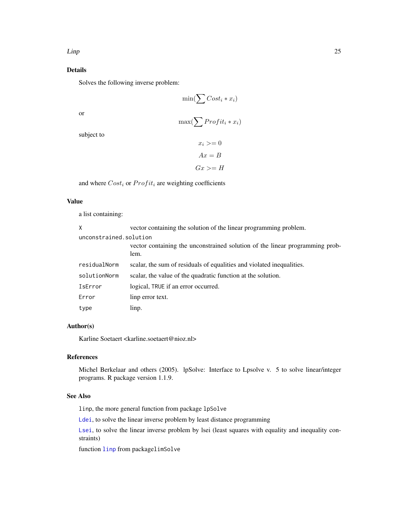## <span id="page-24-0"></span>Details

Solves the following inverse problem:

$$
\min(\sum Cost_i * x_i)
$$

or

$$
\max(\sum\mathit{Profit}_i * x_i)
$$

subject to

$$
x_i \geq 0
$$

$$
Ax = B
$$

$$
Gx \geq H
$$

and where  $Cost_i$  or  $Profit_i$  are weighting coefficients

## Value

a list containing:

| X                      | vector containing the solution of the linear programming problem.                    |
|------------------------|--------------------------------------------------------------------------------------|
| unconstrained.solution |                                                                                      |
|                        | vector containing the unconstrained solution of the linear programming prob-<br>lem. |
| residualNorm           | scalar, the sum of residuals of equalities and violated inequalities.                |
| solutionNorm           | scalar, the value of the quadratic function at the solution.                         |
| IsError                | logical, TRUE if an error occurred.                                                  |
| Error                  | linp error text.                                                                     |
| type                   | linp.                                                                                |

## Author(s)

Karline Soetaert <karline.soetaert@nioz.nl>

## References

Michel Berkelaar and others (2005). lpSolve: Interface to Lpsolve v. 5 to solve linear/integer programs. R package version 1.1.9.

## See Also

linp, the more general function from package lpSolve

[Ldei](#page-5-1), to solve the linear inverse problem by least distance programming

[Lsei](#page-25-1), to solve the linear inverse problem by lsei (least squares with equality and inequality constraints)

function [linp](#page-0-0) from packagelimSolve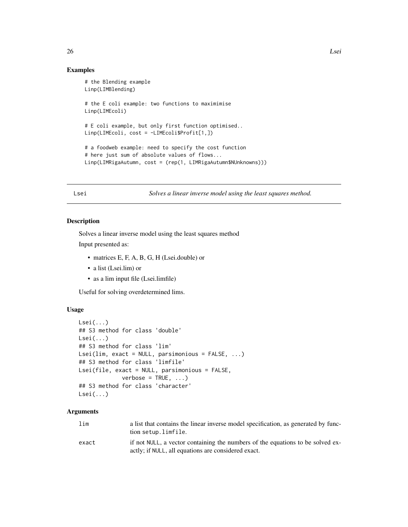## Examples

```
# the Blending example
Linp(LIMBlending)
# the E coli example: two functions to maximimise
Linp(LIMEcoli)
# E coli example, but only first function optimised..
Linp(LIMEcoli, cost = -LIMEcoli$Profit[1,])
# a foodweb example: need to specify the cost function
# here just sum of absolute values of flows...
Linp(LIMRigaAutumn, cost = (rep(1, LIMRigaAutumn$NUnknowns)))
```
<span id="page-25-1"></span>Lsei *Solves a linear inverse model using the least squares method.*

#### Description

Solves a linear inverse model using the least squares method

Input presented as:

- matrices E, F, A, B, G, H (Lsei.double) or
- a list (Lsei.lim) or
- as a lim input file (Lsei.limfile)

Useful for solving overdetermined lims.

## Usage

```
Lsei(...)
## S3 method for class 'double'
Lsei\ldots)
## S3 method for class 'lim'
Lsei(lim, exact = NULL, parsimonious = FALSE, ...)
## S3 method for class 'limfile'
Lsei(file, exact = NULL, parsimonious = FALSE,
             verbose = TRUE, ...)## S3 method for class 'character'
Lsei(...)
```
## Arguments

| lim   | a list that contains the linear inverse model specification, as generated by func-<br>tion setup.limfile.                             |
|-------|---------------------------------------------------------------------------------------------------------------------------------------|
| exact | if not NULL, a vector containing the numbers of the equations to be solved ex-<br>actly; if NULL, all equations are considered exact. |

<span id="page-25-0"></span>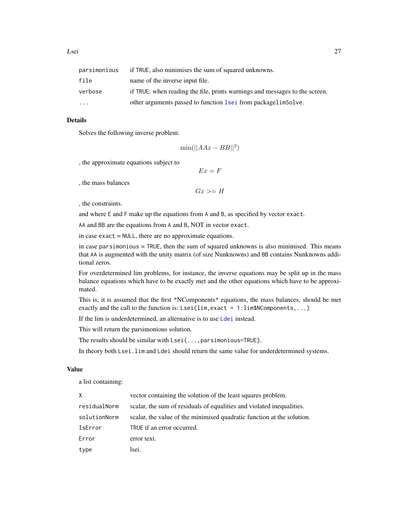<span id="page-26-0"></span>

| parsimonious | if TRUE, also minimises the sum of squared unknowns.                        |
|--------------|-----------------------------------------------------------------------------|
| file         | name of the inverse input file.                                             |
| verbose      | if TRUE: when reading the file, prints warnings and messages to the screen. |
| $\ddotsc$    | other arguments passed to function lsei from packagelimSolve.               |

## Details

Solves the following inverse problem:

 $\min(||AAx - BB||^2)$ 

, the approximate equations subject to

 $Ex = F$ 

, the mass balances

```
Gx \geq H
```
, the constraints.

and where E and F make up the equations from A and B, as specified by vector exact.

AA and BB are the equations from A and B, NOT in vector exact.

in case exact = NULL, there are no approximate equations.

in case parsimonious  $=$  TRUE, then the sum of squared unknowns is also minimised. This means that AA is augmented with the unity matrix (of size Nunknowns) and BB contains Nunknowns additional zeros.

For overdetermined lim problems, for instance, the inverse equations may be split up in the mass balance equations which have to be exactly met and the other equations which have to be approximated.

This is, it is assumed that the first \*NComponents\* equations, the mass balances, should be met exactly and the call to the function is:  $Lsei(lim, exact = 1:lim$NComponents,...)$ 

If the lim is underdetermined, an alternative is to use [Ldei](#page-5-1) instead.

This will return the parsimonious solution.

The results should be similar with Lsei(...,parsimonious=TRUE).

In theory both Lsei.lim and Ldei should return the same value for underdetermined systems.

## Value

a list containing:

| $\times$     | vector containing the solution of the least squares problem.           |
|--------------|------------------------------------------------------------------------|
| residualNorm | scalar, the sum of residuals of equalities and violated inequalities.  |
| solutionNorm | scalar, the value of the minimised quadratic function at the solution. |
| IsError      | TRUE if an error occurred.                                             |
| Error        | error text.                                                            |
| type         | lsei.                                                                  |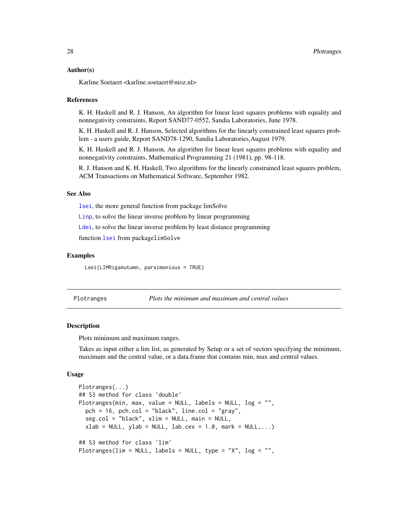#### <span id="page-27-0"></span>Author(s)

Karline Soetaert <karline.soetaert@nioz.nl>

#### References

K. H. Haskell and R. J. Hanson, An algorithm for linear least squares problems with equality and nonnegativity constraints, Report SAND77-0552, Sandia Laboratories, June 1978.

K. H. Haskell and R. J. Hanson, Selected algorithms for the linearly constrained least squares problem - a users guide, Report SAND78-1290, Sandia Laboratories,August 1979.

K. H. Haskell and R. J. Hanson, An algorithm for linear least squares problems with equality and nonnegativity constraints, Mathematical Programming 21 (1981), pp. 98-118.

R. J. Hanson and K. H. Haskell, Two algorithms for the linearly constrained least squares problem, ACM Transactions on Mathematical Software, September 1982.

## See Also

[lsei](#page-0-0), the more general function from package limSolve

[Linp](#page-23-1), to solve the linear inverse problem by linear programming

[Ldei](#page-5-1), to solve the linear inverse problem by least distance programming

function [lsei](#page-0-0) from packagelimSolve

## Examples

Lsei(LIMRigaAutumn, parsimonious = TRUE)

<span id="page-27-1"></span>Plotranges *Plots the minimum and maximum and central values*

## Description

Plots minimum and maximum ranges.

Takes as input either a lim list, as generated by Setup or a set of vectors specifying the minimum, maximum and the central value, or a data.frame that contains min, max and central values.

#### Usage

```
Plotranges(...)
## S3 method for class 'double'
Plotranges(min, max, value = NULL, labels = NULL, log = "",
 pch = 16, pch.col = "black", line.col = "gray",
  seg.col = "black", xlim = NULL, main = NULL,
  xlab = NULL, ylab = NULL, lab \cex = 1.0, mark = NULL,...)
## S3 method for class 'lim'
Plotranges(lim = NULL, labels = NULL, type = "X", log = "",
```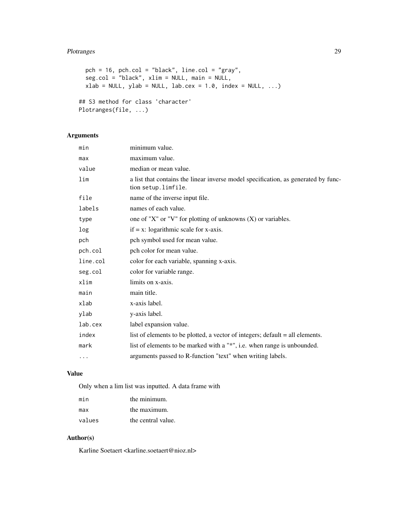## Plotranges 29

```
pch = 16, pch.col = "black", line.col = "gray",
  seg.col = "black", xlim = NULL, main = NULL,
 xlab = NULL, ylab = NULL, lab. cex = 1.0, index = NULL, ...)## S3 method for class 'character'
Plotranges(file, ...)
```
## Arguments

| min      | minimum value.                                                                                            |
|----------|-----------------------------------------------------------------------------------------------------------|
| max      | maximum value.                                                                                            |
| value    | median or mean value.                                                                                     |
| lim      | a list that contains the linear inverse model specification, as generated by func-<br>tion setup.limfile. |
| file     | name of the inverse input file.                                                                           |
| labels   | names of each value.                                                                                      |
| type     | one of "X" or "V" for plotting of unknowns $(X)$ or variables.                                            |
| log      | $if = x: logarithmic scale for x-axis.$                                                                   |
| pch      | pch symbol used for mean value.                                                                           |
| pch.col  | pch color for mean value.                                                                                 |
| line.col | color for each variable, spanning x-axis.                                                                 |
| seg.col  | color for variable range.                                                                                 |
| xlim     | limits on x-axis.                                                                                         |
| main     | main title.                                                                                               |
| xlab     | x-axis label.                                                                                             |
| ylab     | y-axis label.                                                                                             |
| lab.cex  | label expansion value.                                                                                    |
| index    | list of elements to be plotted, a vector of integers; default = all elements.                             |
| mark     | list of elements to be marked with a "*", i.e. when range is unbounded.                                   |
| $\cdots$ | arguments passed to R-function "text" when writing labels.                                                |
|          |                                                                                                           |

## Value

Only when a lim list was inputted. A data frame with

| min    | the minimum.       |
|--------|--------------------|
| max    | the maximum.       |
| values | the central value. |

## Author(s)

Karline Soetaert <karline.soetaert@nioz.nl>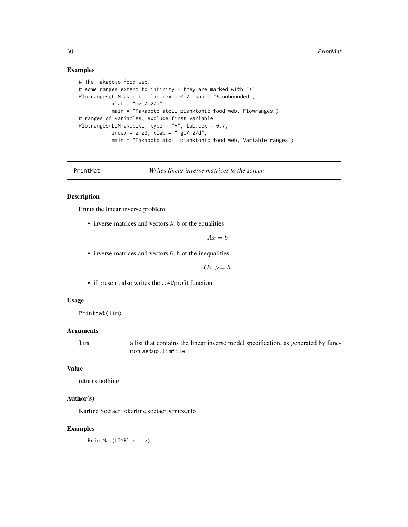## Examples

```
# The Takapoto food web.
# some ranges extend to infinity - they are marked with "*"
Plotranges(LIMTakapoto, lab.cex = 0.7, sub = "*=unbounded",
           xlab = "mgC/m2/d",main = "Takapoto atoll planktonic food web, Flowranges")
# ranges of variables, exclude first variable
Plotranges(LIMTakapoto, type = "V", lab.cex = 0.7,
           index = 2:23, xlab = "mgC/m2/d",main = "Takapoto atoll planktonic food web, Variable ranges")
```
PrintMat *Writes linear inverse matrices to the screen*

#### Description

Prints the linear inverse problem:

• inverse matrices and vectors A, b of the equalities

 $Ax = b$ 

• inverse matrices and vectors G, h of the inequalities

 $Gx \geq h$ 

• if present, also writes the cost/profit function

## Usage

PrintMat(lim)

## Arguments

lim a list that contains the linear inverse model specification, as generated by function setup.limfile.

## Value

returns nothing.

## Author(s)

Karline Soetaert <karline.soetaert@nioz.nl>

#### Examples

PrintMat(LIMBlending)

<span id="page-29-0"></span>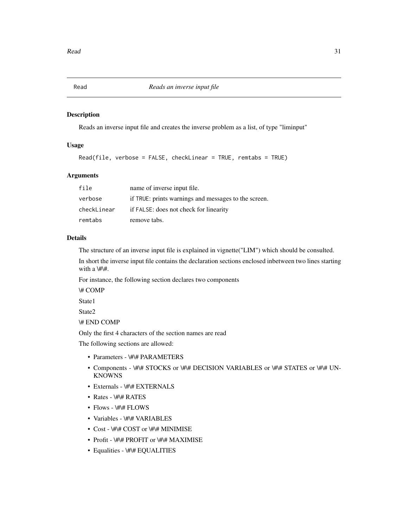<span id="page-30-1"></span><span id="page-30-0"></span>

Reads an inverse input file and creates the inverse problem as a list, of type "liminput"

## Usage

```
Read(file, verbose = FALSE, checkLinear = TRUE, remtabs = TRUE)
```
## Arguments

| file        | name of inverse input file.                          |
|-------------|------------------------------------------------------|
| verbose     | if TRUE: prints warnings and messages to the screen. |
| checkLinear | if FALSE: does not check for linearity               |
| remtabs     | remove tabs.                                         |

## Details

The structure of an inverse input file is explained in vignette("LIM") which should be consulted.

In short the inverse input file contains the declaration sections enclosed inbetween two lines starting with a  $\#$ .

For instance, the following section declares two components

\# COMP

State1

State2

\# END COMP

Only the first 4 characters of the section names are read

The following sections are allowed:

- Parameters \#\# PARAMETERS
- Components \#\# STOCKS or \#\# DECISION VARIABLES or \#\# STATES or \#\# UN-**KNOWNS**
- Externals \#\# EXTERNALS
- Rates \#\# RATES
- Flows \#\# FLOWS
- Variables \#\# VARIABLES
- Cost \#\# COST or \#\# MINIMISE
- Profit \#\# PROFIT or \#\# MAXIMISE
- Equalities \#\# EQUALITIES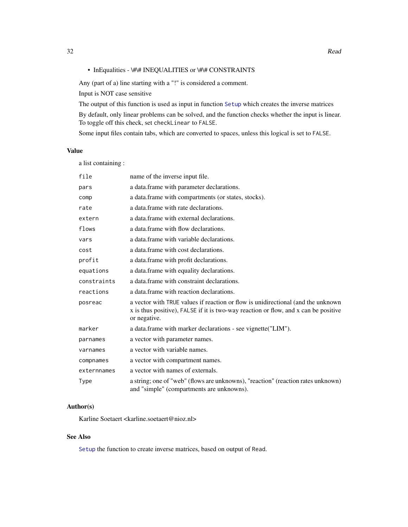<span id="page-31-0"></span>Any (part of a) line starting with a "!" is considered a comment.

Input is NOT case sensitive

The output of this function is used as input in function [Setup](#page-32-1) which creates the inverse matrices

By default, only linear problems can be solved, and the function checks whether the input is linear. To toggle off this check, set checkLinear to FALSE.

Some input files contain tabs, which are converted to spaces, unless this logical is set to FALSE.

## Value

a list containing :

| file        | name of the inverse input file.                                                                                                                                                         |
|-------------|-----------------------------------------------------------------------------------------------------------------------------------------------------------------------------------------|
| pars        | a data.frame with parameter declarations.                                                                                                                                               |
| comp        | a data.frame with compartments (or states, stocks).                                                                                                                                     |
| rate        | a data.frame with rate declarations.                                                                                                                                                    |
| extern      | a data frame with external declarations.                                                                                                                                                |
| flows       | a data frame with flow declarations.                                                                                                                                                    |
| vars        | a data. frame with variable declarations.                                                                                                                                               |
| cost        | a data frame with cost declarations.                                                                                                                                                    |
| profit      | a data.frame with profit declarations.                                                                                                                                                  |
| equations   | a data. frame with equality declarations.                                                                                                                                               |
| constraints | a data frame with constraint declarations.                                                                                                                                              |
| reactions   | a data. frame with reaction declarations.                                                                                                                                               |
| posreac     | a vector with TRUE values if reaction or flow is unidirectional (and the unknown<br>x is thus positive), FALSE if it is two-way reaction or flow, and x can be positive<br>or negative. |
| marker      | a data.frame with marker declarations - see vignette ("LIM").                                                                                                                           |
| parnames    | a vector with parameter names.                                                                                                                                                          |
| varnames    | a vector with variable names.                                                                                                                                                           |
| compnames   | a vector with compartment names.                                                                                                                                                        |
| externnames | a vector with names of externals.                                                                                                                                                       |
| Type        | a string; one of "web" (flows are unknowns), "reaction" (reaction rates unknown)<br>and "simple" (compartments are unknowns).                                                           |

## Author(s)

Karline Soetaert <karline.soetaert@nioz.nl>

## See Also

[Setup](#page-32-1) the function to create inverse matrices, based on output of Read.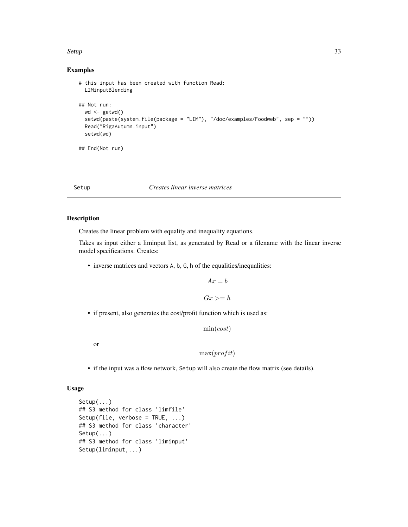#### <span id="page-32-0"></span> $Setup$  33

## Examples

```
# this input has been created with function Read:
 LIMinputBlending
## Not run:
 wd < - getwd()
 setwd(paste(system.file(package = "LIM"), "/doc/examples/Foodweb", sep = ""))
 Read("RigaAutumn.input")
 setwd(wd)
## End(Not run)
```
<span id="page-32-1"></span>Setup *Creates linear inverse matrices*

## Description

Creates the linear problem with equality and inequality equations.

Takes as input either a liminput list, as generated by Read or a filename with the linear inverse model specifications. Creates:

• inverse matrices and vectors A, b, G, h of the equalities/inequalities:

$$
Ax = b
$$

$$
Gx >= h
$$

• if present, also generates the cost/profit function which is used as:

```
min(cost)
```
or

 $max(profit)$ 

• if the input was a flow network, Setup will also create the flow matrix (see details).

## Usage

```
Setup(...)
## S3 method for class 'limfile'
Setup(file, verbose = TRUE, ...)
## S3 method for class 'character'
Setup(...)
## S3 method for class 'liminput'
Setup(liminput,...)
```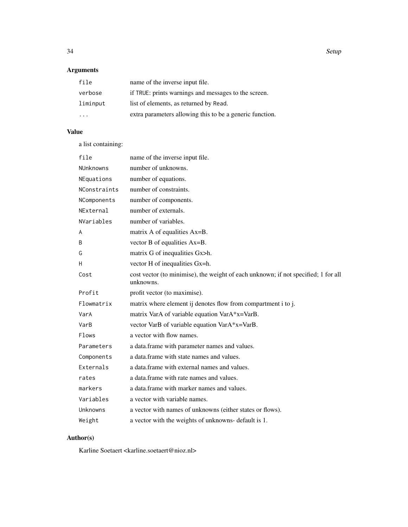34 Setup

## Arguments

| file     | name of the inverse input file.                          |
|----------|----------------------------------------------------------|
| verbose  | if TRUE: prints warnings and messages to the screen.     |
| liminput | list of elements, as returned by Read.                   |
| .        | extra parameters allowing this to be a generic function. |

## Value

a list containing:

| file             | name of the inverse input file.                                                                 |
|------------------|-------------------------------------------------------------------------------------------------|
| <b>NUnknowns</b> | number of unknowns.                                                                             |
| NEquations       | number of equations.                                                                            |
| NConstraints     | number of constraints.                                                                          |
| NComponents      | number of components.                                                                           |
| NExternal        | number of externals.                                                                            |
| NVariables       | number of variables.                                                                            |
| A                | matrix A of equalities Ax=B.                                                                    |
| B                | vector B of equalities Ax=B.                                                                    |
| G                | matrix G of inequalities Gx>h.                                                                  |
| н                | vector H of inequalities Gx=h.                                                                  |
| Cost             | cost vector (to minimise), the weight of each unknown; if not specified; 1 for all<br>unknowns. |
| Profit           | profit vector (to maximise).                                                                    |
| Flowmatrix       | matrix where element ij denotes flow from compartment i to j.                                   |
| VarA             | matrix VarA of variable equation VarA*x=VarB.                                                   |
| VarB             | vector VarB of variable equation VarA*x=VarB.                                                   |
| <b>Flows</b>     | a vector with flow names.                                                                       |
| Parameters       | a data.frame with parameter names and values.                                                   |
| Components       | a data.frame with state names and values.                                                       |
| Externals        | a data frame with external names and values.                                                    |
| rates            | a data. frame with rate names and values.                                                       |
| markers          | a data.frame with marker names and values.                                                      |
| Variables        | a vector with variable names.                                                                   |
| Unknowns         | a vector with names of unknowns (either states or flows).                                       |
| Weight           | a vector with the weights of unknowns- default is 1.                                            |

## Author(s)

Karline Soetaert <karline.soetaert@nioz.nl>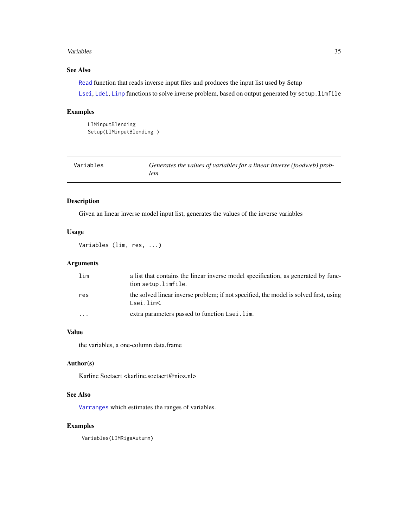#### <span id="page-34-0"></span>Variables 35

## See Also

[Read](#page-30-1) function that reads inverse input files and produces the input list used by Setup

[Lsei](#page-25-1), [Ldei](#page-5-1), [Linp](#page-23-1) functions to solve inverse problem, based on output generated by setup.limfile

## Examples

```
LIMinputBlending
Setup(LIMinputBlending )
```
<span id="page-34-1"></span>

| Variables | Generates the values of variables for a linear inverse (foodweb) prob- |
|-----------|------------------------------------------------------------------------|
|           | lem                                                                    |

## Description

Given an linear inverse model input list, generates the values of the inverse variables

## Usage

Variables (lim, res, ...)

## Arguments

| lim                     | a list that contains the linear inverse model specification, as generated by func-<br>tion setup.limfile. |
|-------------------------|-----------------------------------------------------------------------------------------------------------|
| res                     | the solved linear inverse problem; if not specified, the model is solved first, using<br>Lsei.lim<.       |
| $\cdot$ $\cdot$ $\cdot$ | extra parameters passed to function Lsei.lim.                                                             |

## Value

the variables, a one-column data.frame

#### Author(s)

Karline Soetaert <karline.soetaert@nioz.nl>

## See Also

[Varranges](#page-35-1) which estimates the ranges of variables.

## Examples

Variables(LIMRigaAutumn)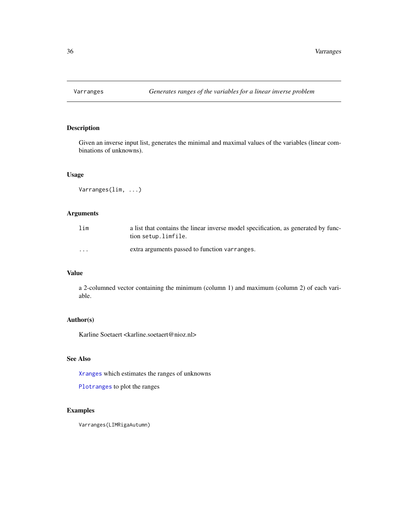<span id="page-35-1"></span><span id="page-35-0"></span>

Given an inverse input list, generates the minimal and maximal values of the variables (linear combinations of unknowns).

## Usage

Varranges(lim, ...)

## Arguments

| lim      | a list that contains the linear inverse model specification, as generated by func-<br>tion setup.limfile. |
|----------|-----------------------------------------------------------------------------------------------------------|
| $\cdots$ | extra arguments passed to function varranges.                                                             |

## Value

a 2-columned vector containing the minimum (column 1) and maximum (column 2) of each variable.

## Author(s)

Karline Soetaert <karline.soetaert@nioz.nl>

## See Also

[Xranges](#page-36-1) which estimates the ranges of unknowns

[Plotranges](#page-27-1) to plot the ranges

## Examples

Varranges(LIMRigaAutumn)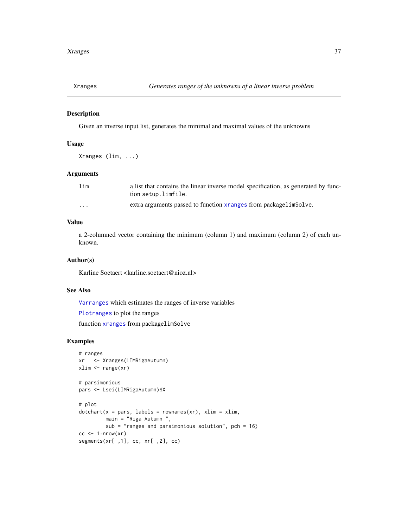<span id="page-36-1"></span><span id="page-36-0"></span>

Given an inverse input list, generates the minimal and maximal values of the unknowns

## Usage

Xranges (lim, ...)

## Arguments

| lim      | a list that contains the linear inverse model specification, as generated by func- |
|----------|------------------------------------------------------------------------------------|
|          | tion setup.limfile.                                                                |
| $\cdots$ | extra arguments passed to function xranges from packagelimSolve.                   |

## Value

a 2-columned vector containing the minimum (column 1) and maximum (column 2) of each unknown.

## Author(s)

Karline Soetaert <karline.soetaert@nioz.nl>

#### See Also

[Varranges](#page-35-1) which estimates the ranges of inverse variables

[Plotranges](#page-27-1) to plot the ranges

function [xranges](#page-0-0) from packagelimSolve

## Examples

```
# ranges
xr <- Xranges(LIMRigaAutumn)
xlim <- range(xr)
# parsimonious
pars <- Lsei(LIMRigaAutumn)$X
# plot
dotchar(x = pars, labels = rownames(xr), xlim = xlim,main = "Riga Autumn ",
        sub = "ranges and parsimonious solution", pch = 16)
cc < -1:nrow(xr)segments(xr[ ,1], cc, xr[ ,2], cc)
```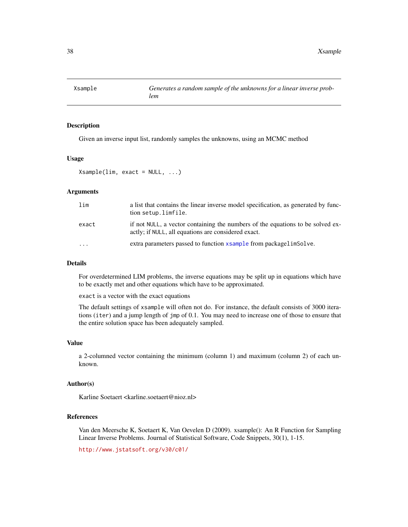<span id="page-37-1"></span><span id="page-37-0"></span>

Given an inverse input list, randomly samples the unknowns, using an MCMC method

#### Usage

Xsample(lim, exact = NULL, ...)

### Arguments

| lim      | a list that contains the linear inverse model specification, as generated by func-<br>tion setup.limfile.                             |
|----------|---------------------------------------------------------------------------------------------------------------------------------------|
| exact    | if not NULL, a vector containing the numbers of the equations to be solved ex-<br>actly; if NULL, all equations are considered exact. |
| $\cdots$ | extra parameters passed to function x sample from packagelim Solve.                                                                   |

#### Details

For overdetermined LIM problems, the inverse equations may be split up in equations which have to be exactly met and other equations which have to be approximated.

exact is a vector with the exact equations

The default settings of xsample will often not do. For instance, the default consists of 3000 iterations (iter) and a jump length of jmp of 0.1. You may need to increase one of those to ensure that the entire solution space has been adequately sampled.

#### Value

a 2-columned vector containing the minimum (column 1) and maximum (column 2) of each unknown.

## Author(s)

Karline Soetaert <karline.soetaert@nioz.nl>

## References

Van den Meersche K, Soetaert K, Van Oevelen D (2009). xsample(): An R Function for Sampling Linear Inverse Problems. Journal of Statistical Software, Code Snippets, 30(1), 1-15.

<http://www.jstatsoft.org/v30/c01/>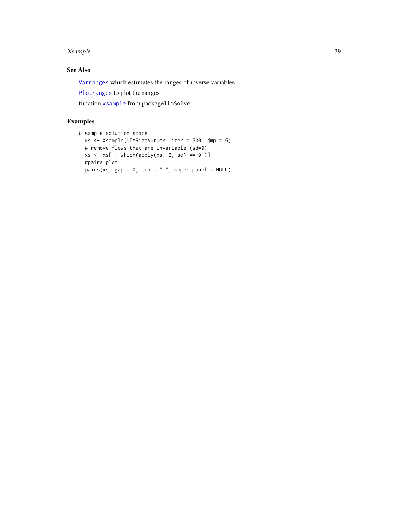#### <span id="page-38-0"></span>Xsample 39

## See Also

[Varranges](#page-35-1) which estimates the ranges of inverse variables

[Plotranges](#page-27-1) to plot the ranges

function [xsample](#page-0-0) from packagelimSolve

## Examples

```
# sample solution space
 xs <- Xsample(LIMRigaAutumn, iter = 500, jmp = 5)
  # remove flows that are invariable (sd=0)
 xs \leftarrow xs[ ,-which(apply(xs, 2, sd) == 0 )]
  #pairs plot
  pairs(xs, gap = 0, pch = ".", upper.panel = NULL)
```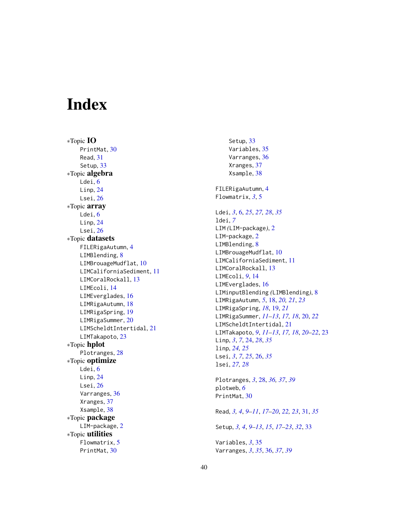# <span id="page-39-0"></span>Index

∗Topic IO PrintMat, [30](#page-29-0) Read , [31](#page-30-0) Setup, [33](#page-32-0) ∗Topic algebra Ldei, [6](#page-5-0) Linp , [24](#page-23-0) Lsei , [26](#page-25-0) ∗Topic array Ldei, [6](#page-5-0) Linp, [24](#page-23-0) Lsei , [26](#page-25-0) ∗Topic datasets FILERigaAutumn , [4](#page-3-0) LIMBlending, [8](#page-7-0) LIMBrouageMudflat, [10](#page-9-0) LIMCaliforniaSediment , [11](#page-10-0) LIMCoralRockall , [13](#page-12-0) LIMEcoli , [14](#page-13-0) LIMEverglades, [16](#page-15-0) LIMRigaAutumn, [18](#page-17-0) LIMRigaSpring, [19](#page-18-0) LIMRigaSummer, $20$ LIMScheldtIntertidal, [21](#page-20-0) LIMTakapoto, [23](#page-22-0) ∗Topic hplot Plotranges, [28](#page-27-0) ∗Topic optimize Ldei, [6](#page-5-0) Linp, [24](#page-23-0) Lsei , [26](#page-25-0) Varranges , [36](#page-35-0) Xranges , [37](#page-36-0) Xsample , [38](#page-37-0) ∗Topic package LIM-package, [2](#page-1-0) ∗Topic utilities Flowmatrix, [5](#page-4-0) PrintMat, [30](#page-29-0)

Setup, [33](#page-32-0) Variables , [35](#page-34-0) Varranges , [36](#page-35-0) Xranges , [37](#page-36-0) Xsample , [38](#page-37-0) FILERigaAutumn , [4](#page-3-0) Flowmatrix , *[3](#page-2-0)* , [5](#page-4-0) Ldei , *[3](#page-2-0)* , [6](#page-5-0) , *[25](#page-24-0)* , *[27,](#page-26-0) [28](#page-27-0)* , *[35](#page-34-0)* ldei , *[7](#page-6-0)* LIM *(*LIM-package *)* , [2](#page-1-0) LIM-package, [2](#page-1-0) LIMBlending, [8](#page-7-0) LIMBrouageMudflat, [10](#page-9-0) LIMCaliforniaSediment, [11](#page-10-0) LIMCoralRockall, [13](#page-12-0) LIMEcoli , *[9](#page-8-0)* , [14](#page-13-0) LIMEverglades, [16](#page-15-0) LIMinputBlending *(*LIMBlending *)* , [8](#page-7-0) LIMRigaAutumn , *[5](#page-4-0)* , [18](#page-17-0) , *[20](#page-19-0) , [21](#page-20-0)* , *[23](#page-22-0)* LIMRigaSpring , *[18](#page-17-0)* , [19](#page-18-0) , *[21](#page-20-0)* LIMRigaSummer , *[11](#page-10-0) [–13](#page-12-0)* , *[17,](#page-16-0) [18](#page-17-0)* , [20](#page-19-0) , *[22](#page-21-0)* LIMScheldtIntertidal, [21](#page-20-0) LIMTakapoto , *[9](#page-8-0)* , *[11](#page-10-0) [–13](#page-12-0)* , *[17,](#page-16-0) [18](#page-17-0)* , *[20](#page-19-0)[–22](#page-21-0)* , [23](#page-22-0) Linp, [3](#page-2-0), [7](#page-6-0), [24](#page-23-0), [28](#page-27-0), [35](#page-34-0) linp , *[24](#page-23-0) , [25](#page-24-0)* Lsei , *[3](#page-2-0)* , *[7](#page-6-0)* , *[25](#page-24-0)* , [26](#page-25-0) , *[35](#page-34-0)* lsei , *[27,](#page-26-0) [28](#page-27-0)* Plotranges , *[3](#page-2-0)* , [28](#page-27-0) , *[36,](#page-35-0) [37](#page-36-0)* , *[39](#page-38-0)* plotweb , *[6](#page-5-0)* PrintMat, [30](#page-29-0) Read , *[3](#page-2-0) , [4](#page-3-0)* , *[9](#page-8-0) [–11](#page-10-0)* , *[17](#page-16-0)[–20](#page-19-0)* , *[22](#page-21-0) , [23](#page-22-0)* , [31](#page-30-0) , *[35](#page-34-0)* Setup , *[3](#page-2-0) , [4](#page-3-0)* , *[9](#page-8-0) [–13](#page-12-0)* , *[15](#page-14-0)* , *[17](#page-16-0)[–23](#page-22-0)* , *[32](#page-31-0)* , [33](#page-32-0)

Variables , *[3](#page-2-0)* , [35](#page-34-0) Varranges , *[3](#page-2-0)* , *[35](#page-34-0)* , [36](#page-35-0) , *[37](#page-36-0)* , *[39](#page-38-0)*